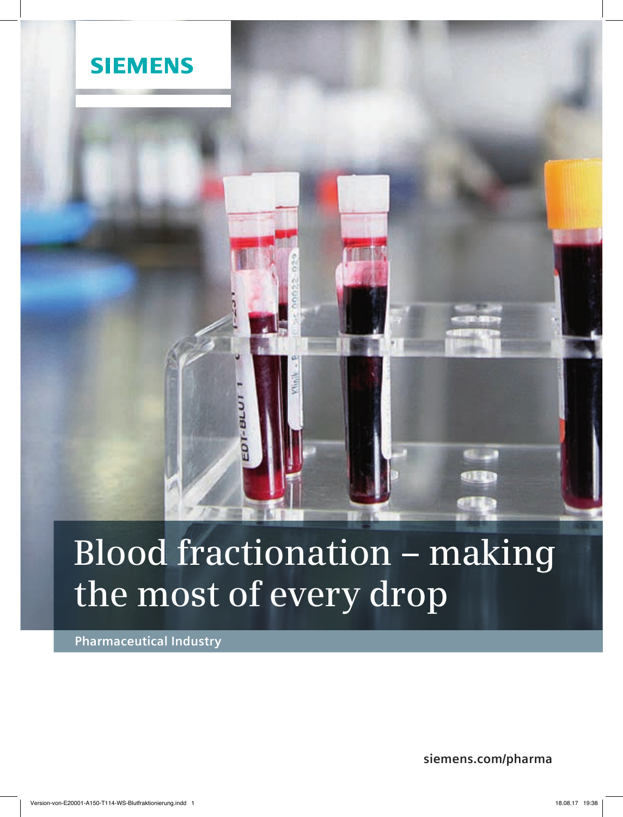

# **Blood fractionation – making the most of every drop**

**Pharmaceutical Industry**

**siemens.com/pharma**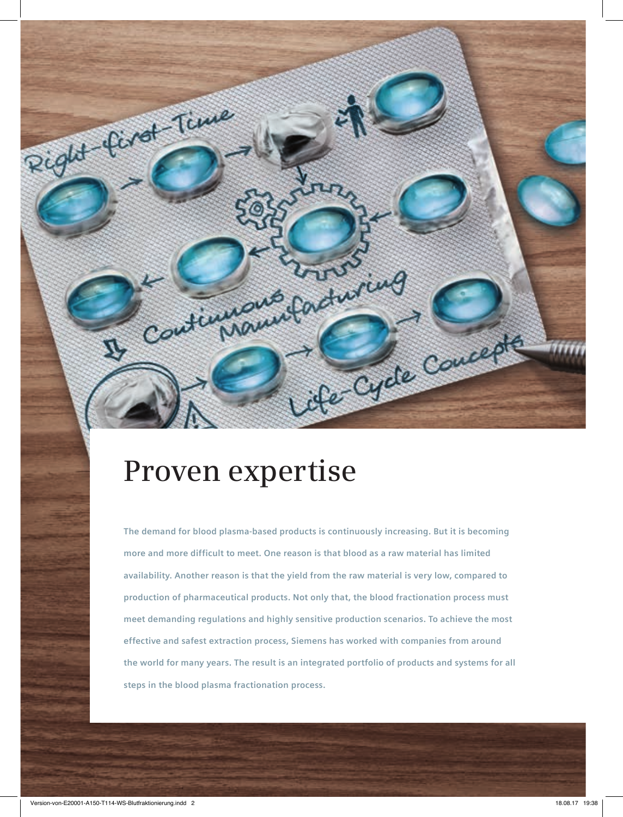## **Proven expertise**

Continued for the Control

**The demand for blood plasma-based products is continuously increasing. But it is becoming more and more difficult to meet. One reason is that blood as a raw material has limited availability. Another reason is that the yield from the raw material is very low, compared to production of pharmaceutical products. Not only that, the blood fractionation process must meet demanding regulations and highly sensitive production scenarios. To achieve the most effective and safest extraction process, Siemens has worked with companies from around the world for many years. The result is an integrated portfolio of products and systems for all steps in the blood plasma fractionation process.**

A Cycle Couche

Right ford Time

V,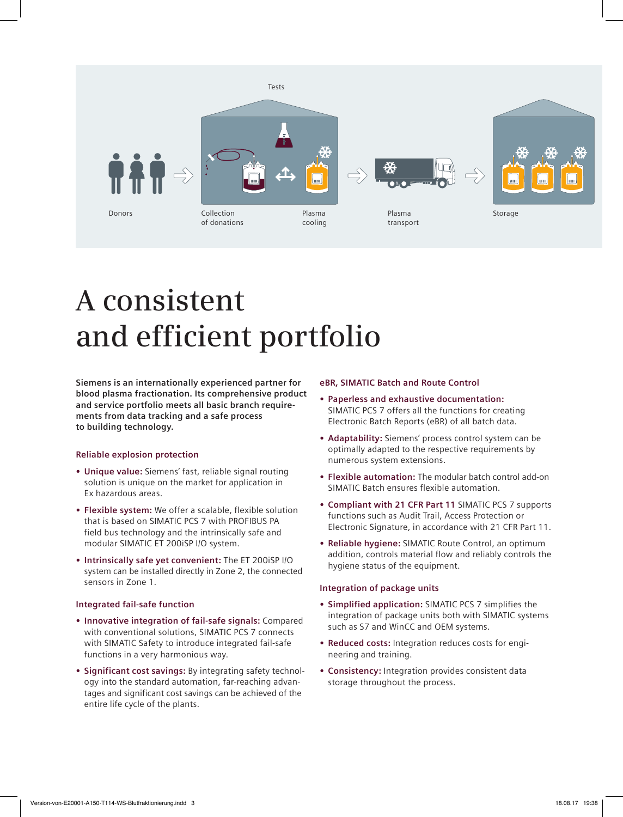

# **A consistent and efficient portfolio**

**Siemens is an internationally experienced partner for blood plasma fractionation. Its comprehensive product and service portfolio meets all basic branch requirements from data tracking and a safe process to building technology.**

### **Reliable explosion protection**

- **• Unique value:** Siemens' fast, reliable signal routing solution is unique on the market for application in Ex hazardous areas.
- **• Flexible system:** We offer a scalable, flexible solution that is based on SIMATIC PCS 7 with PROFIBUS PA field bus technology and the intrinsically safe and modular SIMATIC ET 200iSP I/O system.
- **• Intrinsically safe yet convenient:** The ET 200iSP I/O system can be installed directly in Zone 2, the connected sensors in Zone 1.

#### **Integrated fail-safe function**

- **• Innovative integration of fail-safe signals:** Compared with conventional solutions, SIMATIC PCS 7 connects with SIMATIC Safety to introduce integrated fail-safe functions in a very harmonious way.
- **• Significant cost savings:** By integrating safety technology into the standard automation, far-reaching advantages and significant cost savings can be achieved of the entire life cycle of the plants.

#### **eBR, SIMATIC Batch and Route Control**

- **• Paperless and exhaustive documentation:** SIMATIC PCS 7 offers all the functions for creating Electronic Batch Reports (eBR) of all batch data.
- **• Adaptability:** Siemens' process control system can be optimally adapted to the respective requirements by numerous system extensions.
- **• Flexible automation:** The modular batch control add-on SIMATIC Batch ensures flexible automation.
- **• Compliant with 21 CFR Part 11** SIMATIC PCS 7 supports functions such as Audit Trail, Access Protection or Electronic Signature, in accordance with 21 CFR Part 11.
- **• Reliable hygiene:** SIMATIC Route Control, an optimum addition, controls material flow and reliably controls the hygiene status of the equipment.

#### **Integration of package units**

- **• Simplified application:** SIMATIC PCS 7 simplifies the integration of package units both with SIMATIC systems such as S7 and WinCC and OEM systems.
- **• Reduced costs:** Integration reduces costs for engineering and training.
- **• Consistency:** Integration provides consistent data storage throughout the process.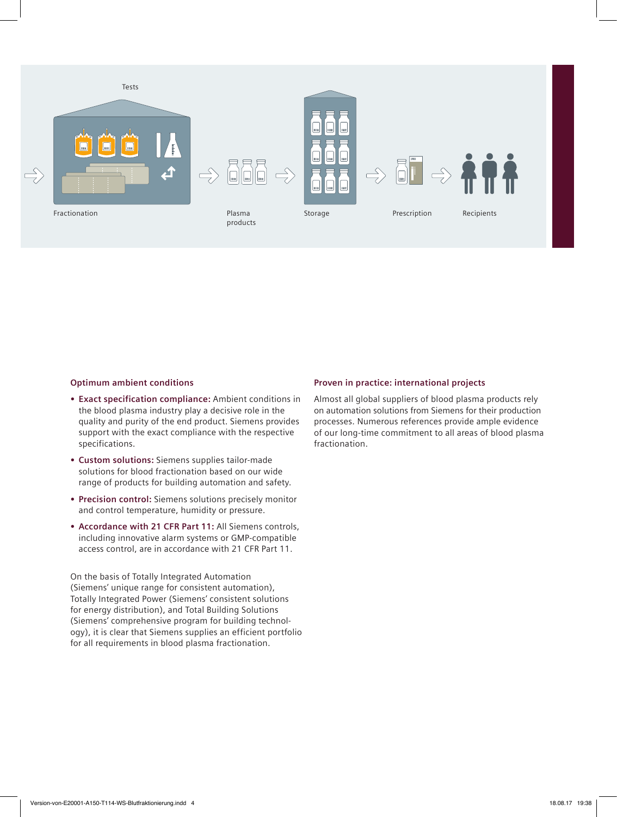

#### **Optimum ambient conditions**

- **• Exact specification compliance:** Ambient conditions in the blood plasma industry play a decisive role in the quality and purity of the end product. Siemens provides support with the exact compliance with the respective specifications.
- **• Custom solutions:** Siemens supplies tailor-made solutions for blood fractionation based on our wide range of products for building automation and safety.
- **• Precision control:** Siemens solutions precisely monitor and control temperature, humidity or pressure.
- **• Accordance with 21 CFR Part 11:** All Siemens controls, including innovative alarm systems or GMP-compatible access control, are in accordance with 21 CFR Part 11.

On the basis of Totally Integrated Automation (Siemens' unique range for consistent automation), Totally Integrated Power (Siemens' consistent solutions for energy distribution), and Total Building Solutions (Siemens' comprehensive program for building technology), it is clear that Siemens supplies an efficient portfolio for all requirements in blood plasma fractionation.

#### **Proven in practice: international projects**

Almost all global suppliers of blood plasma products rely on automation solutions from Siemens for their production processes. Numerous references provide ample evidence of our long-time commitment to all areas of blood plasma fractionation.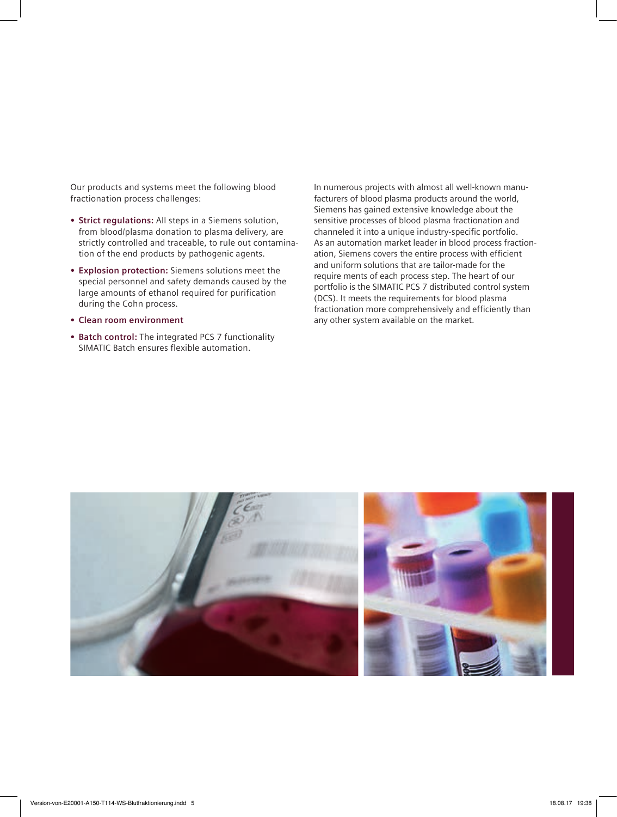Our products and systems meet the following blood fractionation process challenges:

- **• Strict regulations:** All steps in a Siemens solution, from blood/plasma donation to plasma delivery, are strictly controlled and traceable, to rule out contamination of the end products by pathogenic agents.
- **• Explosion protection:** Siemens solutions meet the special personnel and safety demands caused by the large amounts of ethanol required for purification during the Cohn process.
- **• Clean room environment**
- **• Batch control:** The integrated PCS 7 functionality SIMATIC Batch ensures flexible automation.

In numerous projects with almost all well-known manufacturers of blood plasma products around the world, Siemens has gained extensive knowledge about the sensitive processes of blood plasma fractionation and channeled it into a unique industry-specific portfolio. As an automation market leader in blood process fractionation, Siemens covers the entire process with efficient and uniform solutions that are tailor-made for the require ments of each process step. The heart of our portfolio is the SIMATIC PCS 7 distributed control system (DCS). It meets the requirements for blood plasma fractionation more comprehensively and efficiently than any other system available on the market.